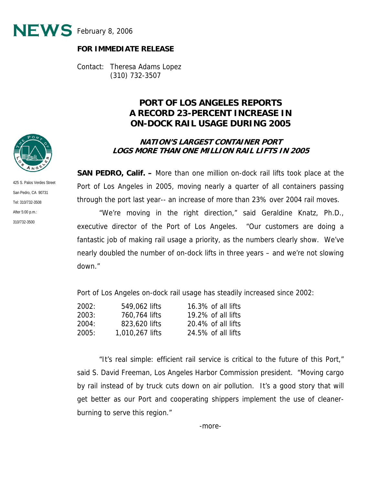

## **FOR IMMEDIATE RELEASE**

Contact: Theresa Adams Lopez (310) 732-3507

## **PORT OF LOS ANGELES REPORTS A RECORD 23-PERCENT INCREASE IN ON-DOCK RAIL USAGE DURING 2005**

## **NATION'S LARGEST CONTAINER PORT LOGS MORE THAN ONE MILLION RAIL LIFTS IN 2005**

**SAN PEDRO, Calif. –** More than one million on-dock rail lifts took place at the Port of Los Angeles in 2005, moving nearly a quarter of all containers passing through the port last year-- an increase of more than 23% over 2004 rail moves.

 "We're moving in the right direction," said Geraldine Knatz, Ph.D., executive director of the Port of Los Angeles. "Our customers are doing a fantastic job of making rail usage a priority, as the numbers clearly show. We've nearly doubled the number of on-dock lifts in three years – and we're not slowing down."

Port of Los Angeles on-dock rail usage has steadily increased since 2002:

| 2002: | 549,062 lifts   | $16.3\%$ of all lifts |
|-------|-----------------|-----------------------|
| 2003: | 760,764 lifts   | 19.2% of all lifts    |
| 2004: | 823,620 lifts   | $20.4\%$ of all lifts |
| 2005: | 1,010,267 lifts | 24.5% of all lifts    |

 "It's real simple: efficient rail service is critical to the future of this Port," said S. David Freeman, Los Angeles Harbor Commission president. "Moving cargo by rail instead of by truck cuts down on air pollution. It's a good story that will get better as our Port and cooperating shippers implement the use of cleanerburning to serve this region."



425 S. Palos Verdes Street San Pedro, CA 90731 Tel: 310/732-3508 After 5:00 p.m.: 310/732-3500

-more-